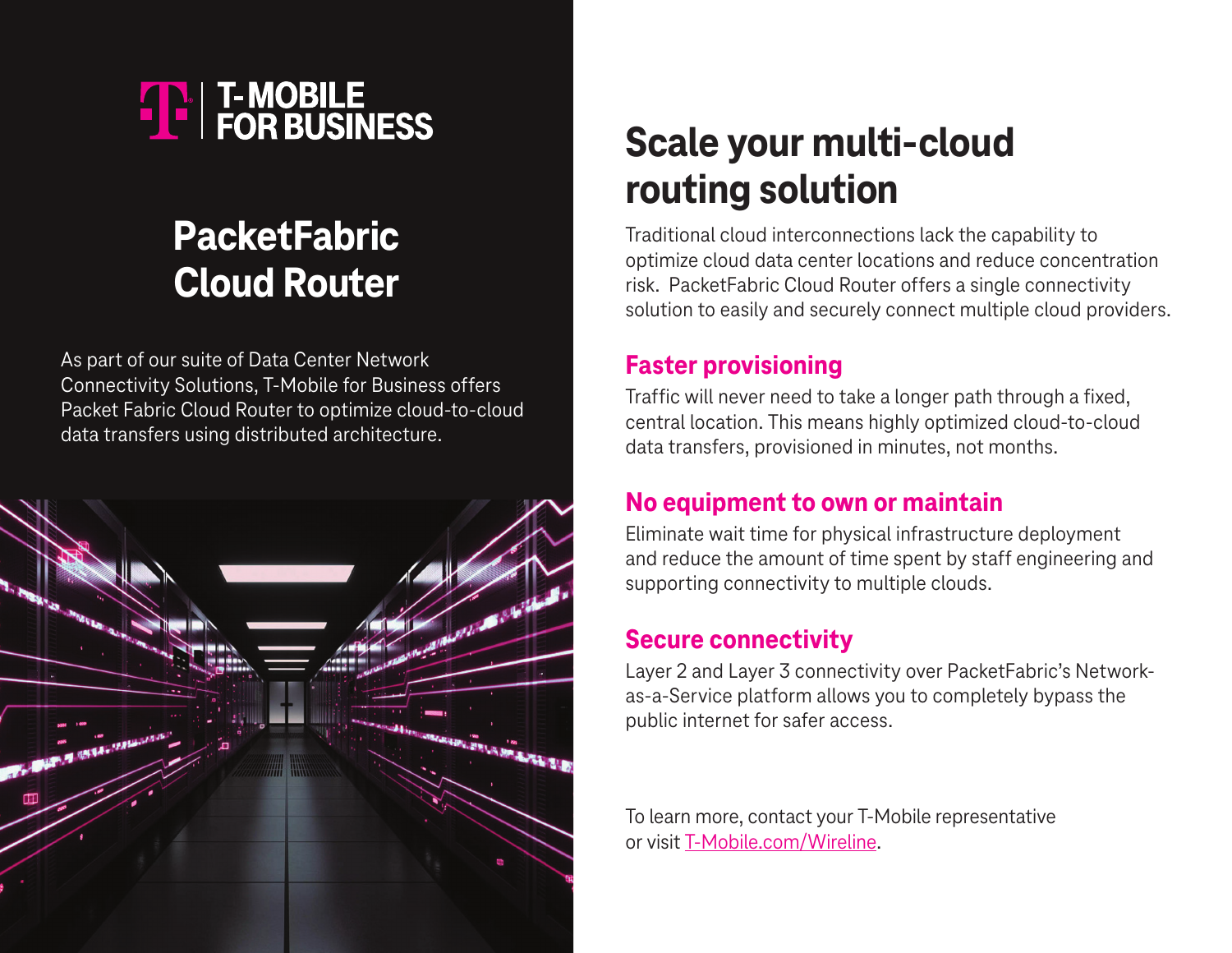

## **PacketFabric Cloud Router**

As part of our suite of Data Center Network Connectivity Solutions, T-Mobile for Business offers Packet Fabric Cloud Router to optimize cloud-to-cloud data transfers using distributed architecture.



# **Scale your multi-cloud routing solution**

Traditional cloud interconnections lack the capability to optimize cloud data center locations and reduce concentration risk. PacketFabric Cloud Router offers a single connectivity solution to easily and securely connect multiple cloud providers.

### **Faster provisioning**

Traffic will never need to take a longer path through a fixed, central location. This means highly optimized cloud-to-cloud data transfers, provisioned in minutes, not months.

#### **No equipment to own or maintain**

Eliminate wait time for physical infrastructure deployment and reduce the amount of time spent by staff engineering and supporting connectivity to multiple clouds.

#### **Secure connectivity**

Layer 2 and Layer 3 connectivity over PacketFabric's Networkas-a-Service platform allows you to completely bypass the public internet for safer access.

To learn more, contact your T-Mobile representative or visit [T-Mobile.com/](https://t-mobile.com/wireline)Wireline.